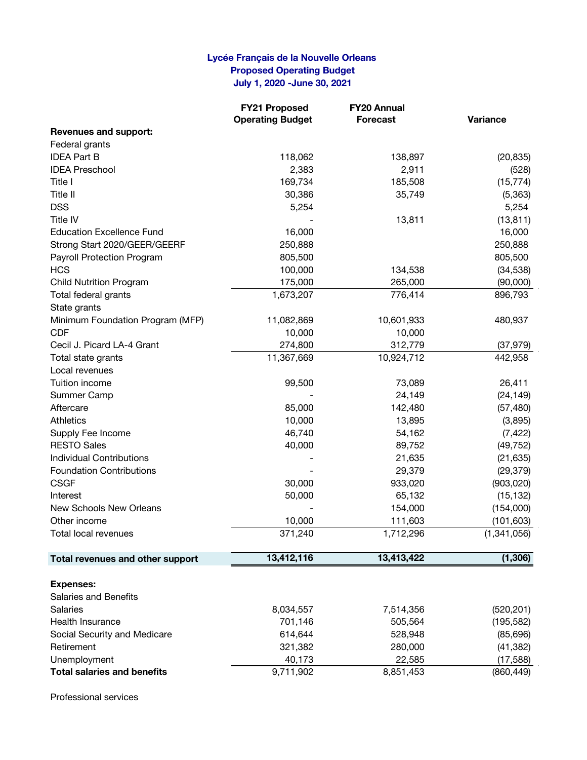## **Lycée Français de la Nouvelle Orleans Proposed Operating Budget July 1, 2020 -June 30, 2021**

|                                    | <b>FY21 Proposed</b>    | FY20 Annual     |             |
|------------------------------------|-------------------------|-----------------|-------------|
|                                    | <b>Operating Budget</b> | <b>Forecast</b> | Variance    |
| <b>Revenues and support:</b>       |                         |                 |             |
| Federal grants                     |                         |                 |             |
| <b>IDEA Part B</b>                 | 118,062                 | 138,897         | (20, 835)   |
| <b>IDEA Preschool</b>              | 2,383                   | 2,911           | (528)       |
| Title I                            | 169,734                 | 185,508         | (15, 774)   |
| Title II                           | 30,386                  | 35,749          | (5,363)     |
| <b>DSS</b>                         | 5,254                   |                 | 5,254       |
| Title IV                           |                         | 13,811          | (13, 811)   |
| <b>Education Excellence Fund</b>   | 16,000                  |                 | 16,000      |
| Strong Start 2020/GEER/GEERF       | 250,888                 |                 | 250,888     |
| Payroll Protection Program         | 805,500                 |                 | 805,500     |
| <b>HCS</b>                         | 100,000                 | 134,538         | (34, 538)   |
| <b>Child Nutrition Program</b>     | 175,000                 | 265,000         | (90,000)    |
| Total federal grants               | 1,673,207               | 776,414         | 896,793     |
| State grants                       |                         |                 |             |
| Minimum Foundation Program (MFP)   | 11,082,869              | 10,601,933      | 480,937     |
| <b>CDF</b>                         | 10,000                  | 10,000          |             |
| Cecil J. Picard LA-4 Grant         | 274,800                 | 312,779         | (37, 979)   |
| Total state grants                 | 11,367,669              | 10,924,712      | 442,958     |
| Local revenues                     |                         |                 |             |
| Tuition income                     | 99,500                  | 73,089          | 26,411      |
| Summer Camp                        |                         | 24,149          | (24, 149)   |
| Aftercare                          | 85,000                  | 142,480         | (57, 480)   |
| <b>Athletics</b>                   | 10,000                  | 13,895          | (3,895)     |
| Supply Fee Income                  | 46,740                  | 54,162          | (7, 422)    |
| <b>RESTO Sales</b>                 | 40,000                  | 89,752          | (49, 752)   |
| <b>Individual Contributions</b>    |                         | 21,635          | (21, 635)   |
| <b>Foundation Contributions</b>    |                         | 29,379          | (29, 379)   |
| <b>CSGF</b>                        | 30,000                  | 933,020         | (903, 020)  |
| Interest                           | 50,000                  | 65,132          | (15, 132)   |
| New Schools New Orleans            |                         | 154,000         | (154,000)   |
| Other income                       | 10,000                  | 111,603         | (101, 603)  |
| Total local revenues               | 371,240                 | 1,712,296       | (1,341,056) |
| Total revenues and other support   | 13,412,116              | 13,413,422      | (1, 306)    |
|                                    |                         |                 |             |
| <b>Expenses:</b>                   |                         |                 |             |
| <b>Salaries and Benefits</b>       |                         |                 |             |
| <b>Salaries</b>                    | 8,034,557               | 7,514,356       | (520, 201)  |
| Health Insurance                   | 701,146                 | 505,564         | (195, 582)  |
| Social Security and Medicare       | 614,644                 | 528,948         | (85,696)    |
| Retirement                         | 321,382                 | 280,000         | (41, 382)   |
| Unemployment                       | 40,173                  | 22,585          | (17, 588)   |
| <b>Total salaries and benefits</b> | 9,711,902               | 8,851,453       | (860, 449)  |

Professional services